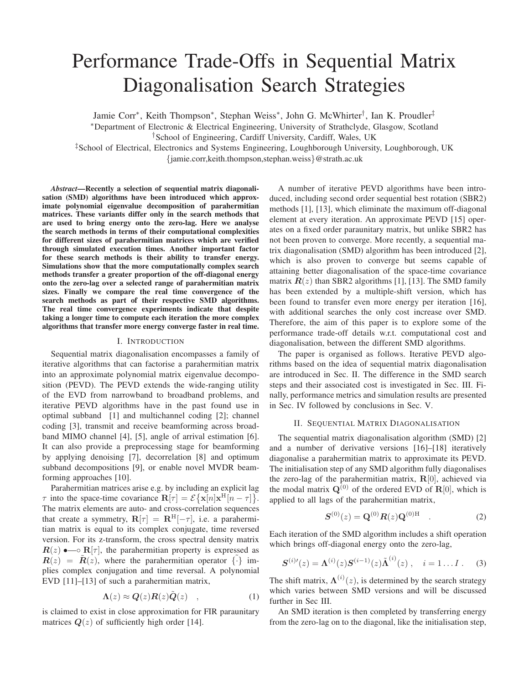# Performance Trade-Offs in Sequential Matrix Diagonalisation Search Strategies

Jamie Corr<sup>∗</sup> , Keith Thompson<sup>∗</sup> , Stephan Weiss<sup>∗</sup> , John G. McWhirter† , Ian K. Proudler‡

<sup>∗</sup>Department of Electronic & Electrical Engineering, University of Strathclyde, Glasgow, Scotland

†School of Engineering, Cardiff University, Cardiff, Wales, UK

‡School of Electrical, Electronics and Systems Engineering, Loughborough University, Loughborough, UK {jamie.corr,keith.thompson,stephan.weiss}@strath.ac.uk

*Abstract*—Recently a selection of sequential matrix diagonalisation (SMD) algorithms have been introduced which approximate polynomial eigenvalue decomposition of parahermitian matrices. These variants differ only in the search methods that are used to bring energy onto the zero-lag. Here we analyse the search methods in terms of their computational complexities for different sizes of parahermitian matrices which are verified through simulated execution times. Another important factor for these search methods is their ability to transfer energy. Simulations show that the more computationally complex search methods transfer a greater proportion of the off-diagonal energy onto the zero-lag over a selected range of parahermitian matrix sizes. Finally we compare the real time convergence of the search methods as part of their respective SMD algorithms. The real time convergence experiments indicate that despite taking a longer time to compute each iteration the more complex algorithms that transfer more energy converge faster in real time.

#### I. INTRODUCTION

Sequential matrix diagonalisation encompasses a family of iterative algorithms that can factorise a parahermitian matrix into an approximate polynomial matrix eigenvalue decomposition (PEVD). The PEVD extends the wide-ranging utility of the EVD from narrowband to broadband problems, and iterative PEVD algorithms have in the past found use in optimal subband [1] and multichannel coding [2]; channel coding [3], transmit and receive beamforming across broadband MIMO channel [4], [5], angle of arrival estimation [6]. It can also provide a preprocessing stage for beamforming by applying denoising [7], decorrelation [8] and optimum subband decompositions [9], or enable novel MVDR beamforming approaches [10].

Parahermitian matrices arise e.g. by including an explicit lag  $\tau$  into the space-time covariance  $\mathbf{R}[\tau] = \mathcal{E} \{ \mathbf{x}[n] \mathbf{x}^{\text{H}}[n - \tau] \}.$ The matrix elements are auto- and cross-correlation sequences that create a symmetry,  $R[\tau] = R^{H}[-\tau]$ , i.e. a parahermitian matrix is equal to its complex conjugate, time reversed version. For its z-transform, the cross spectral density matrix  $R(z)$  •— $\circ$  R[ $\tau$ ], the parahermitian property is expressed as  $R(z) = R(z)$ , where the parahermitian operator  $\{\cdot\}$  implies complex conjugation and time reversal. A polynomial EVD [11]–[13] of such a parahermitian matrix,

$$
\Lambda(z) \approx \mathbf{Q}(z)\mathbf{R}(z)\tilde{\mathbf{Q}}(z) \quad , \tag{1}
$$

is claimed to exist in close approximation for FIR paraunitary matrices  $Q(z)$  of sufficiently high order [14].

A number of iterative PEVD algorithms have been introduced, including second order sequential best rotation (SBR2) methods [1], [13], which eliminate the maximum off-diagonal element at every iteration. An approximate PEVD [15] operates on a fixed order paraunitary matrix, but unlike SBR2 has not been proven to converge. More recently, a sequential matrix diagonalisation (SMD) algorithm has been introduced [2], which is also proven to converge but seems capable of attaining better diagonalisation of the space-time covariance matrix  $R(z)$  than SBR2 algorithms [1], [13]. The SMD family has been extended by a multiple-shift version, which has been found to transfer even more energy per iteration [16], with additional searches the only cost increase over SMD. Therefore, the aim of this paper is to explore some of the performance trade-off details w.r.t. computational cost and diagonalisation, between the different SMD algorithms.

The paper is organised as follows. Iterative PEVD algorithms based on the idea of sequential matrix diagonalisation are introduced in Sec. II. The difference in the SMD search steps and their associated cost is investigated in Sec. III. Finally, performance metrics and simulation results are presented in Sec. IV followed by conclusions in Sec. V.

#### II. SEQUENTIAL MATRIX DIAGONALISATION

The sequential matrix diagonalisation algorithm (SMD) [2] and a number of derivative versions [16]–[18] iteratively diagonalise a parahermitian matrix to approximate its PEVD. The initialisation step of any SMD algorithm fully diagonalises the zero-lag of the parahermitian matrix,  $R[0]$ , achieved via the modal matrix  $\mathbf{Q}^{(0)}$  of the ordered EVD of  $\mathbf{R}[0]$ , which is applied to all lags of the parahermitian matrix,

$$
S^{(0)}(z) = Q^{(0)}R(z)Q^{(0)H} \t . \t (2)
$$

Each iteration of the SMD algorithm includes a shift operation which brings off-diagonal energy onto the zero-lag,

$$
\mathbf{S}^{(i)\prime}(z) = \mathbf{\Lambda}^{(i)}(z)\mathbf{S}^{(i-1)}(z)\tilde{\mathbf{\Lambda}}^{(i)}(z) , \quad i = 1...I . \quad (3)
$$

The shift matrix,  $\Lambda^{(i)}(z)$ , is determined by the search strategy which varies between SMD versions and will be discussed further in Sec III.

An SMD iteration is then completed by transferring energy from the zero-lag on to the diagonal, like the initialisation step,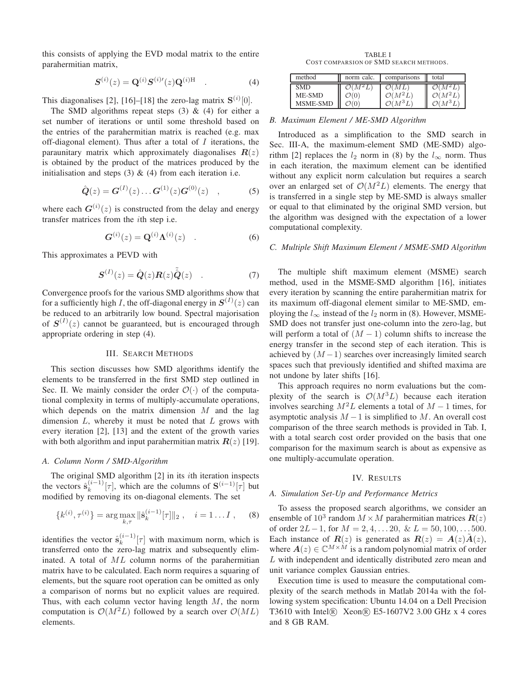this consists of applying the EVD modal matrix to the entire parahermitian matrix,

$$
S^{(i)}(z) = \mathbf{Q}^{(i)} S^{(i)\prime}(z) \mathbf{Q}^{(i)H} \quad . \tag{4}
$$

This diagonalises [2], [16]–[18] the zero-lag matrix  $S^{(i)}[0]$ .

The SMD algorithms repeat steps  $(3)$  &  $(4)$  for either a set number of iterations or until some threshold based on the entries of the parahermitian matrix is reached (e.g. max off-diagonal element). Thus after a total of  $I$  iterations, the paraunitary matrix which approximately diagonalises  $R(z)$ is obtained by the product of the matrices produced by the initialisation and steps  $(3)$  &  $(4)$  from each iteration i.e.

$$
\hat{\mathbf{Q}}(z) = \mathbf{G}^{(I)}(z) \dots \mathbf{G}^{(1)}(z) \mathbf{G}^{(0)}(z) \quad , \tag{5}
$$

where each  $G^{(i)}(z)$  is constructed from the delay and energy transfer matrices from the ith step i.e.

$$
\mathbf{G}^{(i)}(z) = \mathbf{Q}^{(i)} \mathbf{\Lambda}^{(i)}(z) \quad . \tag{6}
$$

This approximates a PEVD with

$$
\mathbf{S}^{(I)}(z) = \hat{\mathbf{Q}}(z)\mathbf{R}(z)\tilde{\hat{\mathbf{Q}}}(z) \quad . \tag{7}
$$

Convergence proofs for the various SMD algorithms show that for a sufficiently high *I*, the off-diagonal energy in  $S^{(I)}(z)$  can be reduced to an arbitrarily low bound. Spectral majorisation of  $S^{(I)}(z)$  cannot be guaranteed, but is encouraged through appropriate ordering in step (4).

## III. SEARCH METHODS

This section discusses how SMD algorithms identify the elements to be transferred in the first SMD step outlined in Sec. II. We mainly consider the order  $\mathcal{O}(\cdot)$  of the computational complexity in terms of multiply-accumulate operations, which depends on the matrix dimension  $M$  and the lag dimension  $L$ , whereby it must be noted that  $L$  grows with every iteration [2], [13] and the extent of the growth varies with both algorithm and input parahermitian matrix  $R(z)$  [19].

# *A. Column Norm / SMD-Algorithm*

The original SMD algorithm  $[2]$  in its *i*th iteration inspects the vectors  $\hat{\mathbf{s}}_k^{(i-1)}[\tau]$ , which are the columns of  $\mathbf{S}^{(i-1)}[\tau]$  but modified by removing its on-diagonal elements. The set

$$
\{k^{(i)}, \tau^{(i)}\} = \arg \max_{k, \tau} \|\hat{\mathbf{s}}_k^{(i-1)}[\tau]\|_2 , \quad i = 1 \dots I , \quad (8)
$$

identifies the vector  $\hat{\mathbf{s}}_k^{(i-1)}[\tau]$  with maximum norm, which is transferred onto the zero-lag matrix and subsequently eliminated. A total of ML column norms of the parahermitian matrix have to be calculated. Each norm requires a squaring of elements, but the square root operation can be omitted as only a comparison of norms but no explicit values are required. Thus, with each column vector having length  $M$ , the norm computation is  $\mathcal{O}(M^2L)$  followed by a search over  $\mathcal{O}(ML)$ elements.

TABLE I COST COMPARS ION OF SMD SEARCH METHODS.

| method          | norm calc.          | comparisons         | total               |
|-----------------|---------------------|---------------------|---------------------|
| <b>SMD</b>      | $\mathcal{O}(M^2L)$ | $\mathcal{O}(ML)$   | $\mathcal{O}(M^2L)$ |
| ME-SMD          | $\mathcal{O}(0)$    | $\mathcal{O}(M^2L)$ | $\mathcal{O}(M^2L)$ |
| <b>MSME-SMD</b> | $\mathcal{O}(0)$    | $\mathcal{O}(M^3L)$ | $\mathcal{O}(M^3L)$ |

## *B. Maximum Element / ME-SMD Algorithm*

Introduced as a simplification to the SMD search in Sec. III-A, the maximum-element SMD (ME-SMD) algorithm [2] replaces the  $l_2$  norm in (8) by the  $l_{\infty}$  norm. Thus in each iteration, the maximum element can be identified without any explicit norm calculation but requires a search over an enlarged set of  $\mathcal{O}(M^2L)$  elements. The energy that is transferred in a single step by ME-SMD is always smaller or equal to that eliminated by the original SMD version, but the algorithm was designed with the expectation of a lower computational complexity.

# *C. Multiple Shift Maximum Element / MSME-SMD Algorithm*

The multiple shift maximum element (MSME) search method, used in the MSME-SMD algorithm [16], initiates every iteration by scanning the entire parahermitian matrix for its maximum off-diagonal element similar to ME-SMD, employing the  $l_{\infty}$  instead of the  $l_2$  norm in (8). However, MSME-SMD does not transfer just one-column into the zero-lag, but will perform a total of  $(M - 1)$  column shifts to increase the energy transfer in the second step of each iteration. This is achieved by  $(M-1)$  searches over increasingly limited search spaces such that previously identified and shifted maxima are not undone by later shifts [16].

This approach requires no norm evaluations but the complexity of the search is  $\mathcal{O}(M^3L)$  because each iteration involves searching  $M^2L$  elements a total of  $M-1$  times, for asymptotic analysis  $M-1$  is simplified to M. An overall cost comparison of the three search methods is provided in Tab. I, with a total search cost order provided on the basis that one comparison for the maximum search is about as expensive as one multiply-accumulate operation.

#### IV. RESULTS

## *A. Simulation Set-Up and Performance Metrics*

To assess the proposed search algorithms, we consider an ensemble of  $10^3$  random  $M \times M$  parahermitian matrices  $\mathbf{R}(z)$ of order  $2L-1$ , for  $M = 2, 4, \ldots, 20, \& L = 50, 100, \ldots, 500.$ Each instance of  $R(z)$  is generated as  $R(z) = A(z)A(z)$ , where  $A(z) \in \mathbb{C}^{M \times M}$  is a random polynomial matrix of order L with independent and identically distributed zero mean and unit variance complex Gaussian entries.

Execution time is used to measure the computational complexity of the search methods in Matlab 2014a with the following system specification: Ubuntu 14.04 on a Dell Precision T3610 with Intel <sup>R</sup> Xeon <sup>R</sup> E5-1607V2 3.00 GHz x 4 cores and 8 GB RAM.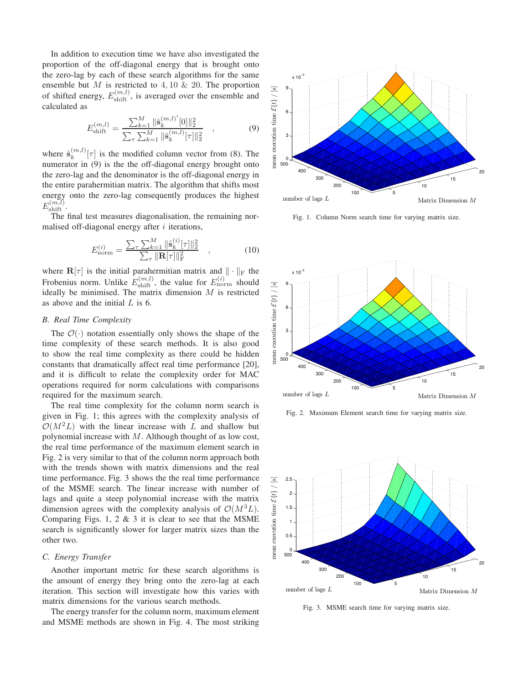In addition to execution time we have also investigated the proportion of the off-diagonal energy that is brought onto the zero-lag by each of these search algorithms for the same ensemble but  $M$  is restricted to 4, 10  $\&$  20. The proportion of shifted energy,  $E_{\text{shift}}^{(m,l)}$ , is averaged over the ensemble and calculated as

$$
E_{\text{shift}}^{(m,l)} = \frac{\sum_{k=1}^{M} \|\hat{\mathbf{s}}_k^{(m,l)'}[0]\|_2^2}{\sum_{\tau} \sum_{k=1}^{M} \|\hat{\mathbf{s}}_k^{(m,l)}[\tau]\|_2^2}, \qquad (9)
$$

where  $\hat{\mathbf{s}}_k^{(m,l)}$  $\binom{m,t}{k}$  [ $\tau$ ] is the modified column vector from (8). The numerator in (9) is the the off-diagonal energy brought onto the zero-lag and the denominator is the off-diagonal energy in the entire parahermitian matrix. The algorithm that shifts most energy onto the zero-lag consequently produces the highest  $E_{\mathrm{shift}}^{(m,l)}$ .

The final test measures diagonalisation, the remaining normalised off-diagonal energy after  $i$  iterations,

$$
E_{\text{norm}}^{(i)} = \frac{\sum_{\tau} \sum_{k=1}^{M} ||\hat{\mathbf{s}}_k^{(i)}[\tau]||_2^2}{\sum_{\tau} ||\mathbf{R}[\tau]||_F^2} \quad , \tag{10}
$$

where  $\mathbf{R}[\tau]$  is the initial parahermitian matrix and  $\|\cdot\|_F$  the Frobenius norm. Unlike  $E_{\text{shift}}^{(m,l)}$ , the value for  $E_{\text{norm}}^{(i)}$  should ideally be minimised. The matrix dimension  $M$  is restricted as above and the initial  $L$  is 6.

# *B. Real Time Complexity*

The  $\mathcal{O}(\cdot)$  notation essentially only shows the shape of the time complexity of these search methods. It is also good to show the real time complexity as there could be hidden constants that dramatically affect real time performance [20], and it is difficult to relate the complexity order for MAC operations required for norm calculations with comparisons required for the maximum search.

The real time complexity for the column norm search is given in Fig. 1; this agrees with the complexity analysis of  $\mathcal{O}(M^2L)$  with the linear increase with L and shallow but polynomial increase with  $M$ . Although thought of as low cost, the real time performance of the maximum element search in Fig. 2 is very similar to that of the column norm approach both with the trends shown with matrix dimensions and the real time performance. Fig. 3 shows the the real time performance of the MSME search. The linear increase with number of lags and quite a steep polynomial increase with the matrix dimension agrees with the complexity analysis of  $\mathcal{O}(M^3L)$ . Comparing Figs. 1, 2  $\&$  3 it is clear to see that the MSME search is significantly slower for larger matrix sizes than the other two.

# *C. Energy Transfer*

Another important metric for these search algorithms is the amount of energy they bring onto the zero-lag at each iteration. This section will investigate how this varies with matrix dimensions for the various search methods.

The energy transfer for the column norm, maximum element and MSME methods are shown in Fig. 4. The most striking



Fig. 1. Column Norm search time for varying matrix size.



Fig. 2. Maximum Element search time for varying matrix size.



Fig. 3. MSME search time for varying matrix size.